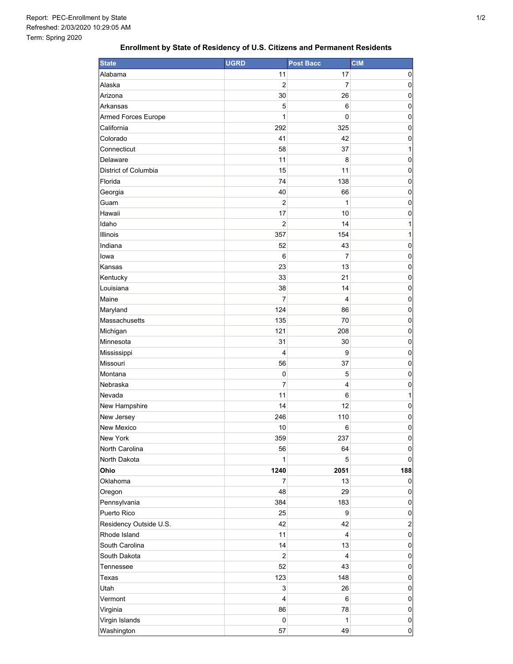## **Enrollment by State of Residency of U.S. Citizens and Permanent Residents**

| <b>State</b>           | <b>UGRD</b>    | <b>Post Bacc</b> | <b>CIM</b>              |
|------------------------|----------------|------------------|-------------------------|
| Alabama                | 11             | 17               | 0                       |
| Alaska                 | 2              | 7                | 0                       |
| Arizona                | 30             | 26               | 0                       |
| Arkansas               | 5              | 6                | $\mathbf 0$             |
| Armed Forces Europe    | 1              | $\mathbf 0$      | 0                       |
| California             | 292            | 325              | $\mathbf 0$             |
| Colorado               | 41             | 42               | 0                       |
| Connecticut            | 58             | 37               | 1                       |
| Delaware               | 11             | 8                | 0                       |
| District of Columbia   | 15             | 11               | 0                       |
| Florida                | 74             | 138              | 0                       |
| Georgia                | 40             | 66               | $\mathbf 0$             |
| Guam                   | $\overline{2}$ | 1                | $\mathbf 0$             |
| Hawaii                 | 17             | 10               | $\mathbf 0$             |
| Idaho                  | $\overline{2}$ | 14               | 1                       |
| Illinois               | 357            | 154              | 1                       |
| Indiana                | 52             | 43               | 0                       |
| lowa                   | 6              | $\overline{7}$   | 0                       |
| Kansas                 | 23             | 13               | 0                       |
| Kentucky               | 33             | 21               | 0                       |
| Louisiana              | 38             | 14               | 0                       |
| Maine                  | 7              | 4                | $\mathbf 0$             |
| Maryland               | 124            | 86               | 0                       |
| Massachusetts          | 135            | 70               | $\mathbf 0$             |
| Michigan               | 121            | 208              | 0                       |
| Minnesota              | 31             | 30               | 0                       |
| Mississippi            | $\overline{4}$ | 9                | 0                       |
| Missouri               | 56             | 37               | $\mathbf 0$             |
| Montana                | $\mathbf 0$    | 5                | 0                       |
| Nebraska               | 7              | 4                | $\mathbf 0$             |
| Nevada                 | 11             | 6                | 1                       |
| New Hampshire          | 14             | 12               | 0                       |
| New Jersey             | 246            | 110              | 0                       |
| <b>New Mexico</b>      | 10             | 6                | 0                       |
| New York               | 359            | 237              | 0                       |
| North Carolina         | 56             | 64               | $\pmb{0}$               |
| North Dakota           | 1              | $\overline{5}$   | $\pmb{0}$               |
| Ohio                   | 1240           | 2051             | 188                     |
| Oklahoma               | 7              | 13               | 0                       |
| Oregon                 | 48             | 29               | 0                       |
| Pennsylvania           | 384            | 183              | 0                       |
| Puerto Rico            | 25             | 9                | 0                       |
| Residency Outside U.S. | 42             | 42               | $\overline{\mathbf{c}}$ |
| Rhode Island           | 11             | 4                | $\pmb{0}$               |
| South Carolina         | 14             | 13               | $\pmb{0}$               |
| South Dakota           | $\overline{2}$ | 4                | $\pmb{0}$               |
| Tennessee              | 52             | 43               | $\pmb{0}$               |
| Texas                  | 123            | 148              | 0                       |
| Utah                   | 3              | 26               | 0                       |
| Vermont                | 4              | 6                | 0                       |
| Virginia               | 86             | 78               | $\pmb{0}$               |
| Virgin Islands         | 0              | 1                | $\pmb{0}$               |
| Washington             | 57             | 49               | $\pmb{0}$               |